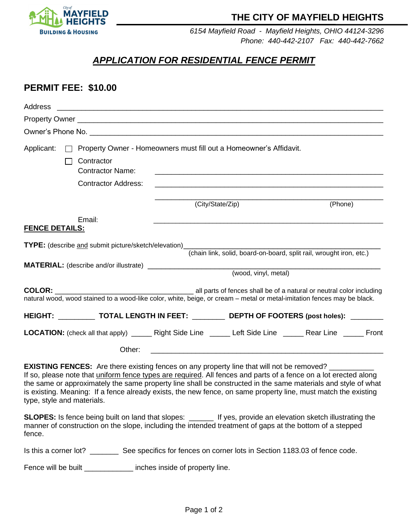

## **THE CITY OF MAYFIELD HEIGHTS**

*6154 Mayfield Road - Mayfield Heights, OHIO 44124-3296 Phone: 440-442-2107 Fax: 440-442-7662*

# *APPLICATION FOR RESIDENTIAL FENCE PERMIT*

### **PERMIT FEE: \$10.00**

| Applicant:<br>Contractor<br><b>Contractor Name:</b><br><b>Contractor Address:</b>                                       | □ Property Owner - Homeowners must fill out a Homeowner's Affidavit.<br><u> 1989 - Johann Barbara, markazar margolaria (h. 1989).</u>                                                                                                                                                                       |         |
|-------------------------------------------------------------------------------------------------------------------------|-------------------------------------------------------------------------------------------------------------------------------------------------------------------------------------------------------------------------------------------------------------------------------------------------------------|---------|
|                                                                                                                         | (City/State/Zip)                                                                                                                                                                                                                                                                                            | (Phone) |
| Email:<br><b>FENCE DETAILS:</b>                                                                                         |                                                                                                                                                                                                                                                                                                             |         |
|                                                                                                                         |                                                                                                                                                                                                                                                                                                             |         |
|                                                                                                                         | (chain link, solid, board-on-board, split rail, wrought iron, etc.)<br>(wood, vinyl, metal)                                                                                                                                                                                                                 |         |
| natural wood, wood stained to a wood-like color, white, beige, or cream – metal or metal-imitation fences may be black. |                                                                                                                                                                                                                                                                                                             |         |
| HEIGHT: _____________ TOTAL LENGTH IN FEET: ___________ DEPTH OF FOOTERS (post holes): _________                        |                                                                                                                                                                                                                                                                                                             |         |
| LOCATION: (check all that apply) _______ Right Side Line ______ Left Side Line ______ Rear Line ______ Front            |                                                                                                                                                                                                                                                                                                             |         |
| Other:                                                                                                                  | <u> 1989 - Johann Harry Harry Harry Harry Harry Harry Harry Harry Harry Harry Harry Harry Harry Harry Harry Harry</u>                                                                                                                                                                                       |         |
| <b>EXISTING FENCES:</b> Are there existing fences on any property line that will not be removed? _______                | $\mathbf{r}$ , $\mathbf{r}$ , $\mathbf{r}$ , $\mathbf{r}$ , $\mathbf{r}$ , $\mathbf{r}$ , $\mathbf{r}$ , $\mathbf{r}$ , $\mathbf{r}$ , $\mathbf{r}$ , $\mathbf{r}$ , $\mathbf{r}$ , $\mathbf{r}$ , $\mathbf{r}$ , $\mathbf{r}$ , $\mathbf{r}$ , $\mathbf{r}$ , $\mathbf{r}$ , $\mathbf{r}$ , $\mathbf{r}$ , |         |

If so, please note that uniform fence types are required. All fences and parts of a fence on a lot erected along the same or approximately the same property line shall be constructed in the same materials and style of what is existing. Meaning: If a fence already exists, the new fence, on same property line, must match the existing type, style and materials.

**SLOPES:** Is fence being built on land that slopes: \_\_\_\_\_\_ If yes, provide an elevation sketch illustrating the manner of construction on the slope, including the intended treatment of gaps at the bottom of a stepped fence.

Is this a corner lot? \_\_\_\_\_\_\_\_\_\_ See specifics for fences on corner lots in Section 1183.03 of fence code.

Fence will be built \_\_\_\_\_\_\_\_\_\_\_\_\_\_ inches inside of property line.